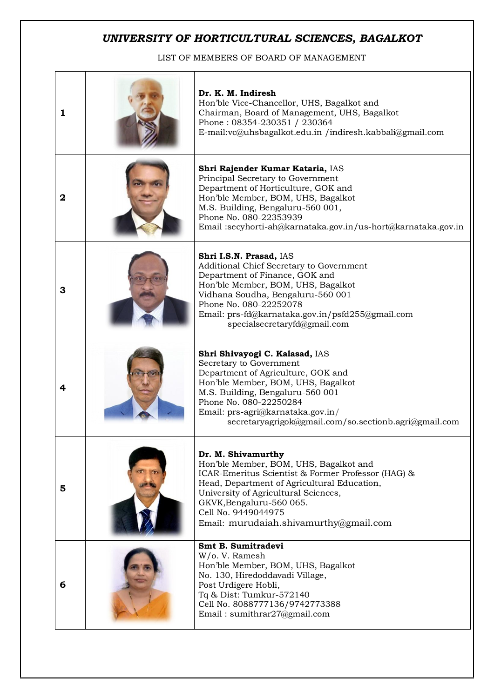## *UNIVERSITY OF HORTICULTURAL SCIENCES, BAGALKOT*

LIST OF MEMBERS OF BOARD OF MANAGEMENT

| 1 | Dr. K. M. Indiresh<br>Hon'ble Vice-Chancellor, UHS, Bagalkot and<br>Chairman, Board of Management, UHS, Bagalkot<br>Phone: 08354-230351 / 230364<br>E-mail:vc@uhsbagalkot.edu.in /indiresh.kabbali@gmail.com                                                                                           |
|---|--------------------------------------------------------------------------------------------------------------------------------------------------------------------------------------------------------------------------------------------------------------------------------------------------------|
| 2 | Shri Rajender Kumar Kataria, IAS<br>Principal Secretary to Government<br>Department of Horticulture, GOK and<br>Hon'ble Member, BOM, UHS, Bagalkot<br>M.S. Building, Bengaluru-560 001,<br>Phone No. 080-22353939<br>Email:secyhorti-ah@karnataka.gov.in/us-hort@karnataka.gov.in                      |
| 3 | Shri I.S.N. Prasad, IAS<br>Additional Chief Secretary to Government<br>Department of Finance, GOK and<br>Hon'ble Member, BOM, UHS, Bagalkot<br>Vidhana Soudha, Bengaluru-560 001<br>Phone No. 080-22252078<br>Email: prs-fd@karnataka.gov.in/psfd255@gmail.com<br>specialsecretaryfd@gmail.com         |
| 4 | Shri Shivayogi C. Kalasad, IAS<br>Secretary to Government<br>Department of Agriculture, GOK and<br>Hon'ble Member, BOM, UHS, Bagalkot<br>M.S. Building, Bengaluru-560 001<br>Phone No. 080-22250284<br>Email: prs-agri@karnataka.gov.in/<br>secretaryagrigok@gmail.com/so.sectionb.agri@gmail.com      |
| 5 | Dr. M. Shivamurthy<br>Hon'ble Member, BOM, UHS, Bagalkot and<br>ICAR-Emeritus Scientist & Former Professor (HAG) &<br>Head, Department of Agricultural Education,<br>University of Agricultural Sciences,<br>GKVK, Bengaluru-560 065.<br>Cell No. 9449044975<br>Email: murudaiah.shivamurthy@gmail.com |
| 6 | Smt B. Sumitradevi<br>W/o. V. Ramesh<br>Hon'ble Member, BOM, UHS, Bagalkot<br>No. 130, Hiredoddavadi Village,<br>Post Urdigere Hobli,<br>Tq & Dist: Tumkur-572140<br>Cell No. 8088777136/9742773388<br>Email: sumithrar27@gmail.com                                                                    |